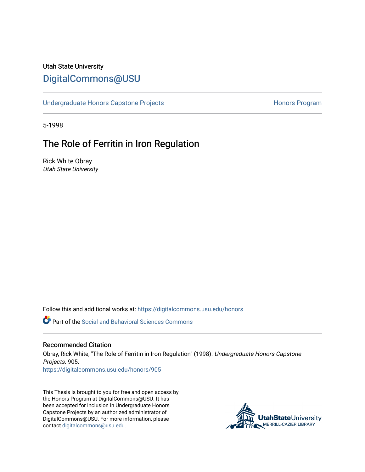## Utah State University [DigitalCommons@USU](https://digitalcommons.usu.edu/)

[Undergraduate Honors Capstone Projects](https://digitalcommons.usu.edu/honors) **Honors Program** Honors Program

5-1998

## The Role of Ferritin in Iron Regulation

Rick White Obray Utah State University

Follow this and additional works at: [https://digitalcommons.usu.edu/honors](https://digitalcommons.usu.edu/honors?utm_source=digitalcommons.usu.edu%2Fhonors%2F905&utm_medium=PDF&utm_campaign=PDFCoverPages)

Part of the [Social and Behavioral Sciences Commons](http://network.bepress.com/hgg/discipline/316?utm_source=digitalcommons.usu.edu%2Fhonors%2F905&utm_medium=PDF&utm_campaign=PDFCoverPages) 

#### Recommended Citation

Obray, Rick White, "The Role of Ferritin in Iron Regulation" (1998). Undergraduate Honors Capstone Projects. 905.

[https://digitalcommons.usu.edu/honors/905](https://digitalcommons.usu.edu/honors/905?utm_source=digitalcommons.usu.edu%2Fhonors%2F905&utm_medium=PDF&utm_campaign=PDFCoverPages)

This Thesis is brought to you for free and open access by the Honors Program at DigitalCommons@USU. It has been accepted for inclusion in Undergraduate Honors Capstone Projects by an authorized administrator of DigitalCommons@USU. For more information, please contact [digitalcommons@usu.edu](mailto:digitalcommons@usu.edu).

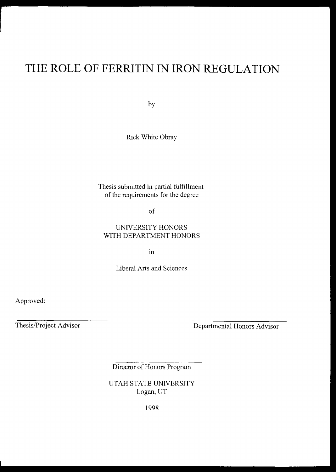# **THE ROLE OF FERRITIN IN IRON REGULATION**

by

Rick White Obray

Thesis submitted in partial fulfillment of the requirements for the degree

of

### UNIVERSITY HONORS WITH DEPARTMENT HONORS

m

Liberal Arts and Sciences

Approved:

Thesis/Project Advisor

Departmental Honors Advisor

Director of Honors Program

UTAH STATE UNIVERSITY Logan, UT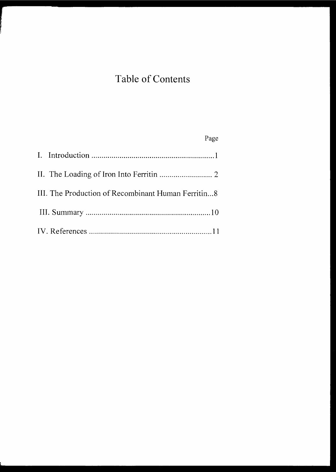# **Table of Contents**

## Page

| III. The Production of Recombinant Human Ferritin8 |
|----------------------------------------------------|
|                                                    |
|                                                    |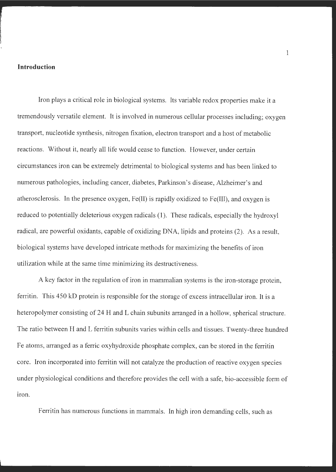#### **Introduction**

Iron plays a critical role in biological systems. Its variable redox properties make it a tremendously versatile element. It is involved in numerous cellular processes including; oxygen transport, nucleotide synthesis, nitrogen fixation, electron transport and a host of metabolic reactions. Without it, nearly all life would cease to function. However, under certain circumstances iron can be extremely detrimental to biological systems and has been linked to numerous pathologies, including cancer, diabetes, Parkinson's disease, Alzheimer's and atherosclerosis. In the presence oxygen, Fe(II) is rapidly oxidized to Fe(III), and oxygen is reduced to potentially deleterious oxygen radicals (1 ). These radicals, especially the hydroxyl radical, are powerful oxidants, capable of oxidizing DNA, lipids and proteins (2). As a result, biological systems have developed intricate methods for maximizing the benefits of iron utilization while at the same time minimizing its destructiveness.

A key factor in the regulation of iron in mammalian systems is the iron-storage protein, ferritin. This 450 kD protein is responsible for the storage of excess intracellular iron. It is a heteropolymer consisting of 24 H and L chain subunits arranged in a hollow, spherical structure. The ratio between H and L ferritin subunits varies within cells and tissues. Twenty-three hundred Fe atoms, arranged as a ferric oxyhydroxide phosphate complex, can be stored in the ferritin core. Iron incorporated into ferritin will not catalyze the production of reactive oxygen species under physiological conditions and therefore provides the cell with a safe, bio-accessible form of iron.

Ferritin has numerous functions in mammals. In high iron demanding cells, such as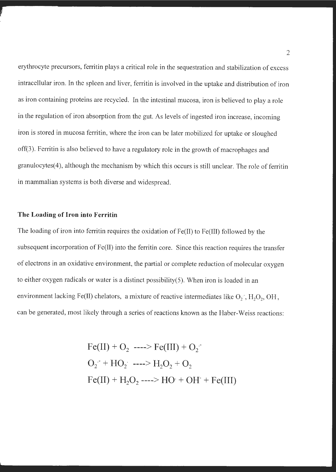erythrocyte precursors, ferritin plays a critical role in the sequestration and stabilization of excess intracellular iron. In the spleen and liver, ferritin is involved in the uptake and distribution of iron as iron containing proteins are recycled. In the intestinal mucosa, iron is believed to play a role in the regulation of iron absorption from the gut. As levels of ingested iron increase, incoming iron is stored in mucosa ferritin, where the iron can be later mobilized for uptake or sloughed off(3). Ferritin is also believed to have a regulatory role in the growth of macrophages and granulocytes(4), although the mechanism by which this occurs is still unclear. The role of ferritin in mammalian systems is both diverse and widespread.

#### **The Loading of Iron into Ferritin**

The loading of iron into ferritin requires the oxidation of Fe(II) to Fe(III) followed by the subsequent incorporation of Fe(II) into the ferritin core. Since this reaction requires the transfer of electrons in an oxidative environment, the partial or complete reduction of molecular oxygen to either oxygen radicals or water is a distinct possibility(5). When iron is loaded in an environment lacking Fe(II) chelators, a mixture of reactive intermediates like  $O_2$  ,  $H_2O_2$ , OH, can be generated, most likely through a series of reactions known as the Haber-Weiss reactions:

> $Fe(III) + O_2$  ---->  $Fe(III) + O_2$  $O_2$ <sup>+</sup> **+ HO**<sub>2</sub><sup> $\cdot$ </sup> **---->**  $H_2O_2$  +  $O_2$  $Fe(II) + H_2O_2$  ----> HO· + OH<sup>-</sup> + Fe(III)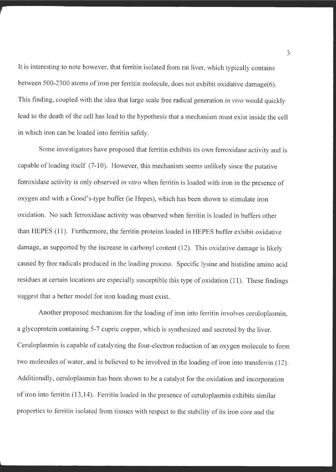It is interesting to note however, that ferritin isolated from rat liver, which typically contains between 500-2300 atoms of iron per ferritin molecule, does not exhibit oxidative damage(6). This finding, coupled with the idea that large scale free radical generation *in vivo* would quickly lead to the death of the cell has lead to the hypothesis that a mechanism must exist inside the cell in which iron can be loaded into ferritin safely.

Some investigators have proposed that ferritin exhibits its own ferroxidase activity and is capable of loading itself  $(7-10)$ . However, this mechanism seems unlikely since the putative ferroxidase activity is only observed *in vitro* when ferritin is loaded with iron in the presence of oxygen and with a Good's-type buffer (ie Hepes), which has been shown to stimulate iron oxidation. No such ferroxidase activity was observed when ferritin is loaded in buffers other than HEPES (11 ). Furthermore, the ferritin proteins loaded in HEPES buffer exhibit oxidative damage, as supported by the increase in carbonyl content (12). This oxidative damage is likely caused by free radicals produced in the loading process. Specific lysine and histidine amino acid residues at certain locations are especially susceptible this type of oxidation (11 ). These findings suggest that a better model for iron loading must exist.

Another proposed mechanism for the loading of iron into ferritin involves ceruloplasmin, a glycoprotein containing 5-7 cupric copper, which is synthesized and secreted by the liver. Ceruloplasmin is capable of catalyzing the four-electron reduction of an oxygen molecule to form two molecules of water, and is believed to be involved in the loading of iron into transferrin (12). Additionally, ceruloplasmin has been shown to be a catalyst for the oxidation and incorporation of iron into ferritin (13,14). Ferritin loaded in the presence of ceruloplasmin exhibits similar properties to ferritin isolated from tissues with respect to the stability of its iron core and the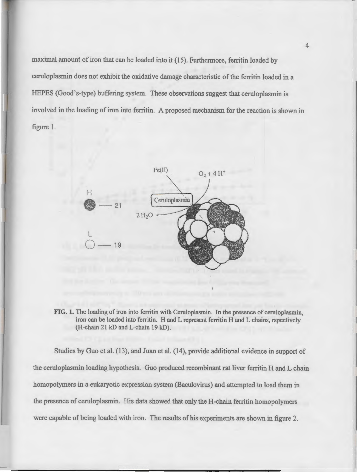maximal amount of iron that can be loaded into it (15). Furthermore, ferritin loaded by ceruloplasmin does not exhibit the oxidative damage characteristic of the ferritin loaded in a HEPES (Good's-type) buffering system. These observations suggest that ceruloplasmin is involved in the loading of iron into ferritin. A proposed mechanism for the reaction is shown in figure 1.



**FIG. 1.** The loading of iron into ferritin with Ceruloplasmin. In the presence of ceruloplasmin, iron can be loaded into ferritin. H and L represent ferritin H and L chains, rspectively (H-chain 21 kD and L-chain 19 kD).

Studies by Guo et al. (13), and Juan et al. (14), provide additional evidence in support of the ceruloplasmin loading hypothesis. Guo produced recombinant rat liver ferritin H and L chain homopolymers in a eukaryotic expression system (Baculovirus) and attempted to load them in the presence of ceruloplasmin. His data showed that only the H-chain ferritin homopolymers were capable of being loaded with iron. The results of his experiments are shown in figure 2.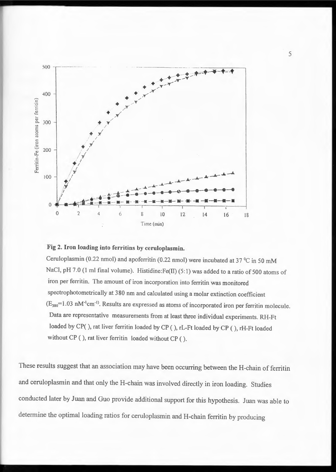

### **Fig 2. Iron loading into ferritins by ceruloplasmin.**

Ceruloplasmin (0.22 nmol) and apoferritin (0.22 nmol) were incubated at 37 °C in 50 mM NaCl, pH 7.0 (1 ml final volume). Histidine:Fe(II) (5:1) was added to a ratio of 500 atoms of iron per ferritin. The amount of iron incorporation into ferritin was monitored spectrophotometrically at 380 nm and calculated using a molar extinction coefficient  $(E_{380}=1.03$  nM<sup>-1</sup>cm<sup>-1</sup>. Results are expressed as atoms of incorporated iron per ferritin molecule. Data are representative measurements from at least three individual experiments. RH-Ft loaded by CP( ), rat liver ferritin loaded by CP ( ), rL-Ft loaded by CP ( ), rH-Ft loaded without CP ( ), rat liver ferritin loaded without CP ( ).

These results suggest that an association may have been occurring between the H-chain of ferritin and ceruloplasmin and that only the H-chain was involved directly in iron loading. Studies conducted later by Juan and Guo provide additional support for this hypothesis. Juan was able to determine the optimal loading ratios for ceruloplasmin and H-chain ferritin by producing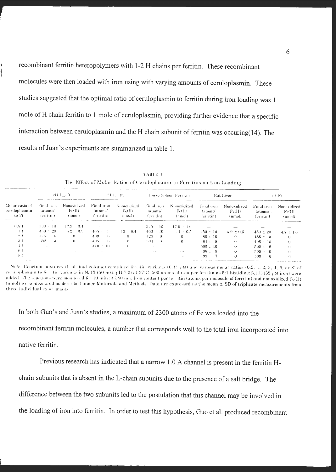recombinant ferritin heteropolymers with 1-2 H chains per ferritin. These recombinant molecules were then loaded with iron using with varying amounts of ceruloplasmin. These studies suggested that the optimal ratio of ceruloplasmin to ferritin during iron loading was I mole of H chain ferritin to 1 mole of ceruloplasmin, providing further evidence that a specific interaction between ceruloplasmin and the H chain subunit of ferritin was occuring $(14)$ . The results of Juan's experiments are summarized in table 1.

|                                          | -41.L .-Ft<br>The contract support of the components of the contract of the components of the contract of the components of the |                                                 | arl door Fi                        |                                 | Horse Spleen Ferritin              |                                 | Rat Liver                          |                                 | rH-Ft                              |                                 |
|------------------------------------------|---------------------------------------------------------------------------------------------------------------------------------|-------------------------------------------------|------------------------------------|---------------------------------|------------------------------------|---------------------------------|------------------------------------|---------------------------------|------------------------------------|---------------------------------|
| Molar ratio of<br>ceruloplasmin<br>to Ft | Final iron<br>Gitoms/<br>ferritin)                                                                                              | Nonoxidized<br>-Fe4D<br>tnmoD.                  | Final iron<br>(atoms/<br>ferritin) | Nonoxidized<br>-FetH)<br>(umol) | Final iron<br>tatoms/<br>ferritial | Nonoxidized<br>-FOHD<br>(nn.ol) | Final iron<br>Gitoms/<br>ferritin) | Nonoxidized<br>Fe(II)<br>(nmol) | Final iron<br>tatoms/<br>ferritin) | Nonoxidized<br>Fe(II)<br>(nmol) |
| -0.54                                    | 330 - 10                                                                                                                        | $17.9 - 0.4$                                    |                                    |                                 | -345 + 10                          | $17.0 + 1.0$                    |                                    |                                 |                                    |                                 |
| -17                                      | $-450 + 20$                                                                                                                     | -52 = 0.5.                                      | $465 + 5$                          | $-3.9 - 0.4$                    | $-160 + 10$                        | $-4.4 + 0.5$                    | $-450 \pm 10$                      | $-4.9 \pm 0.6$                  | $450 \pm 20$                       | $4.7 \div 10$                   |
| 2:1                                      | $415 + 6$                                                                                                                       | $\left( \begin{array}{c} 1 \end{array} \right)$ | $490 - 6$                          | $^{\circ}$                      | 420 + 10                           | ()                              | $480 \pm 10$                       | $\Omega$                        | $485 + 10$                         | $\cup$                          |
| 3:1                                      | - 392 -                                                                                                                         | $\overline{1}$                                  | -135 + - 8                         | $\left\vert \cdot\right\rangle$ | -291 F<br>$\sqrt{2}$               | $\cup$                          | $494 \pm 8$                        | $\left($                        | $498 + 10$                         | $\left($                        |
| -471                                     | $\cdots$                                                                                                                        |                                                 | $410 + 10$                         | $\left\{ \cdot \right\}$        |                                    |                                 | $500 \pm 10$                       | $\theta$ .                      | $500 \pm 6$                        |                                 |
| 6.1                                      |                                                                                                                                 |                                                 |                                    |                                 | $\sim$ $-$                         | $\cdots$                        | $498 + 8$                          | $\left(\right)$                 | $500 \pm 10$                       |                                 |
| 8 <sup>1</sup>                           |                                                                                                                                 |                                                 |                                    |                                 |                                    |                                 | 499.                               | $\theta$                        | $500 \div 6$                       |                                 |

**T,\111.E** I The Effect of Molar Ratios of Ceruloplasmin to Ferritins on Iron Loading

In both Guo's and Juan's studies, a maximum of 2300 atoms of Fe was loaded into the recombinant ferritin molecules, a number that corresponds well to the total iron incorporated into native ferritin.

Previous research has indicated that a narrow 1.0 A channel is present in the ferritin Hchain subunits that is absent in the L-chain subunits due to the presence of a salt bridge. The difference between the two subunits led to the postulation that this channel may be involved in the loading of iron into ferritin. In order to test this hypothesis, Guo et al. produced recombinant

---------. -·----

Note. Reaction mixtures (1 ml final volume) contained ferritin variants (0.11  $\mu$ M) and various molar ratios (0.5, 1, 2, 3, 4, 6, or 8) of ceruloplasmin to ferritin variants in NaCl (50 mM, pH 7.0) at 37°C. 500 atoms of iron per ferritin as 5:1 histidine:Fe(II) (55  $\mu$ M iron) were added. The reactions were monitored for 10 min at 380 nm. Iron content per ferritin (atoms per molecule of ferritin) and nonoxidized Fe(II) (nmol) were measured as described under Materials and Methods. Data are expressed as the mean  $\pm$  SD of triplicate measurements from **three** individual experiments.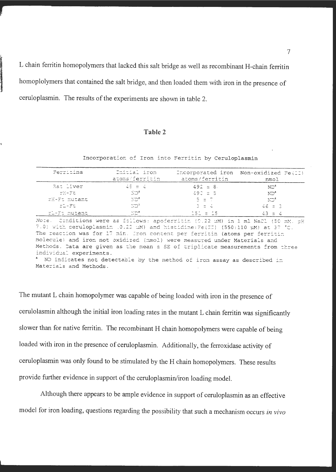L chain ferritin homopolymers that lacked this salt bridge as well as recombinant H-chain ferritin homoplolymers that contained the salt bridge, and then loaded them with iron in the presence of ceruloplasmin. The results of the experiments are shown in table 2.

#### **Table 2**

Incorporation of Iron into Ferritin by Ceruloplasmin

| Ferritins               | - Initial iron<br>atoms/ferritin   | atoms/ferritin                                                                                                                                                                                                                                                                                                                                                                                                     | Incorporated iron Non-oxidized Fe(II)<br>nmol                                   |  |  |
|-------------------------|------------------------------------|--------------------------------------------------------------------------------------------------------------------------------------------------------------------------------------------------------------------------------------------------------------------------------------------------------------------------------------------------------------------------------------------------------------------|---------------------------------------------------------------------------------|--|--|
| Rat liver               | 11 (15 men) 4 (                    | $492 = 8$ .                                                                                                                                                                                                                                                                                                                                                                                                        | $\mathrm{ND}^k$                                                                 |  |  |
| とど日一日もしい                | √`O°                               | $490 + 5$                                                                                                                                                                                                                                                                                                                                                                                                          | ND <sup>e</sup>                                                                 |  |  |
| rH-Ft mutant            | $\mathbb{N} \mathbb{D}^{\epsilon}$ | 11 S E 7                                                                                                                                                                                                                                                                                                                                                                                                           | - ND <sup>e</sup>                                                               |  |  |
| ri-Ft                   | ು ಬಾರಿ                             | - 3 ± 4 +                                                                                                                                                                                                                                                                                                                                                                                                          | $46 = 3$                                                                        |  |  |
| - ri-Ft mutant          | ∴ ND <sup>a</sup>                  | 151 = 15                                                                                                                                                                                                                                                                                                                                                                                                           | $-43 = 4$                                                                       |  |  |
| individual experiments. |                                    | 7.0) with ceruloplasmin (0.22 MM) and histidine: Fe(II) (550:110 MM) at 37 °C.<br>The reaction was for 17 min. Iron content per ferritin (atoms per ferritin<br>molecule) and iron not oxidized (nmol) were measured under Materials and<br>Methods. Data are given as the mean ± SE of triplicate measurements from three<br><sup>4</sup> ND indicates not detectable by the method of iron assay as described in | Note. Conditions were as follows: apoferritin (0.22 uM) in 1 ml NaCl (50 mM, pH |  |  |
| Materials and Methods.  |                                    |                                                                                                                                                                                                                                                                                                                                                                                                                    |                                                                                 |  |  |

The mutant L chain homopolymer was capable of being loaded with iron in the presence of cerulolasmin although the initial iron loading rates in the mutant L chain ferritin was significantly slower than for native ferritin. The recombinant H chain homopolymers were capable of being loaded with iron in the presence of ceruloplasmin. Additionally, the ferroxidase activity of ceruloplasmin was only found to be stimulated by the H chain homopolymers. These results provide further evidence in support of the ceruloplasmin/iron loading model.

Although there appears to be ample evidence in support of ceruloplasmin as an effective model for iron loading, questions regarding the possibility that such a mechanism occurs *in vivo*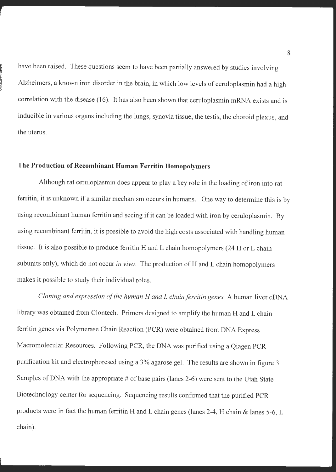have been raised. These questions seem to have been partially answered by studies involving Alzheimers, a known iron disorder in the brain, in which low levels of ceruloplasmin had a high correlation with the disease (16). It has also been shown that ceruloplasmin mRNA exists and is inducible in various organs including the lungs, synovia tissue, the testis, the choroid plexus, and the uterus.

#### **The Production of Recombinant Human Ferritin Homopolymers**

Although rat ceruloplasmin does appear to play a key role in the loading of iron into rat ferritin, it is unknown if a similar mechanism occurs in humans. One way to determine this is by using recombinant human ferritin and seeing if it can be loaded with iron by ceruloplasmin. By using recombinant ferritin, it is possible to avoid the high costs associated with handling human tissue. It is also possible to produce ferritin H and L chain homopolymers (24 H or L chain subunits only), which do not occur *in vivo*. The production of H and L chain homopolymers makes it possible to study their individual roles.

*Cloning and expression of the human H and L chain ferritin genes.* A human liver cDNA library was obtained from Clontech. Primers designed to amplify the human H and L chain ferritin genes via Polymerase Chain Reaction (PCR) were obtained from DNA Express Macromolecular Resources. Following PCR, the DNA was purified using a Qiagen PCR purification kit and electrophoresed using a 3% agarose gel. The results are shown in figure 3. Samples of DNA with the appropriate  $#$  of base pairs (lanes 2-6) were sent to the Utah State Biotechnology center for sequencing. Sequencing results confirmed that the purified PCR products were in fact the human ferritin H and L chain genes (lanes 2-4, H chain & lanes 5-6, L chain).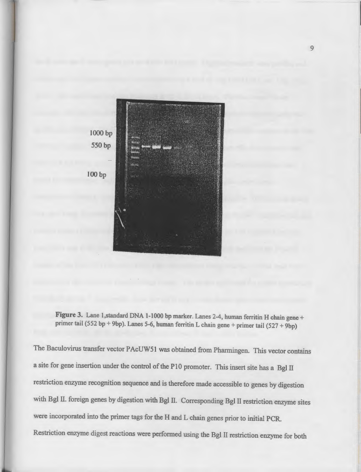



The Baculovirus transfer vector PAcUW51 was obtained from Pharmingen. This vector contains a site for gene insertion under the control of the PlO promoter. This insert site has a Bgl II restriction enzyme recognition sequence and is therefore made accessible to genes by digestion with Bgl II. foreign genes by digestion with Bgl II. Corresponding Bgl II restriction enzyme sites were incorporated into the primer tags for the H and L chain genes prior to initial PCR. Restriction enzyme digest reactions were performed using the Bgl II restriction enzyme for both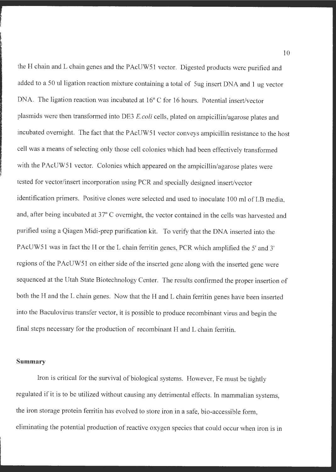the H chain and L chain genes and the PAcUW51 vector. Digested products were purified and added to a 50 ul ligation reaction mixture containing a total of 5ug insert DNA and 1 ug vector DNA. The ligation reaction was incubated at 16° C for 16 hours. Potential insert/vector <sup>p</sup>lasmids were then transformed into DE3 *E.coli* cells, plated on ampicillin/agarose plates and incubated overnight. The fact that the PAcUW51 vector conveys ampicillin resistance to the host cell was a means of selecting only those cell colonies which had been effectively transformed with the PAcUW51 vector. Colonies which appeared on the ampicillin/agarose plates were tested for vector/insert incorporation using PCR and specially designed insert/vector identification primers. Positive clones were selected and used to inoculate 100 ml of LB media, and, after being incubated at 37° C overnight, the vector contained in the cells was harvested and purified using a Qiagen Midi-prep purification kit. To verify that the DNA inserted into the PAcUW 51 was in fact the H or the L chain ferritin genes, PCR which amplified the 5' and 3' regions of the PAcUW51 on either side of the inserted gene along with the inserted gene were sequenced at the Utah State Biotechnology Center. The results confirmed the proper insertion of both the H and the L chain genes. Now that the H and L chain ferritin genes have been inserted into the Baculovirus transfer vector, it is possible to produce recombinant virus and begin the final steps necessary for the production of recombinant H and L chain ferritin.

#### **Summary**

Iron is critical for the survival of biological systems. However, Fe must be tightly regulated if it is to be utilized without causing any detrimental effects. In mammalian systems, the iron storage protein ferritin has evolved to store iron in a safe, bio-accessible form, eliminating the potential production of reactive oxygen species that could occur when iron is in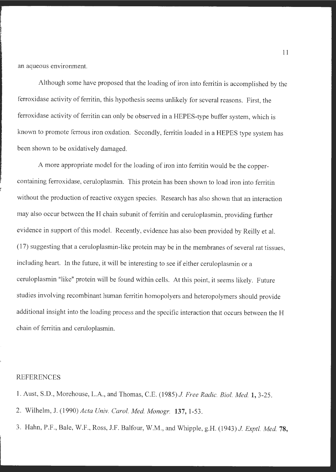an aqueous environment.

Although some have proposed that the loading of iron into ferritin is accomplished by the ferroxidase activity of ferritin, this hypothesis seems unlikely for several reasons. First, the ferroxidase activity of ferritin can only be observed in a HEPES-type buffer system, which is known to promote ferrous iron oxdation. Secondly, ferritin loaded in a HEPES type system has been shown to be oxidatively damaged.

A more appropriate model for the loading of iron into ferritin would be the coppercontaining ferroxidase, ceruloplasmin. This protein has been shown to load iron into ferritin without the production of reactive oxygen species. Research has also shown that an interaction may also occur between the H chain subunit of ferritin and ceruloplasmin, providing further evidence in support of this model. Recently, evidence has also been provided by Reilly et al. (17) suggesting that a ceruloplasmin-like protein may be in the membranes of several rat tissues, including heart. In the future, it will be interesting to see if either ceruloplasmin or a ceruloplasmin "like" protein will be found within cells. At this point, it seems likely. Future studies involving recombinant human ferritin homopolyers and heteropolymers should provide additional insight into the loading process and the specific interaction that occurs between the H chain of ferritin and ceruloplasmin.

#### REFERENCES

- 1. Aust, S.D., Morehouse, L.A., and Thomas, C.E. (1985) *J Free Radie. Biol. Med.* **1,** 3-25.
- 2. Wilhelm, J. (1990) *Acta Univ. Carol. Med. Monogr.* **137,** 1-53.
- 3. Hahn, P.F., Bale, W.F., Ross, J.F. Balfour, W.M., and Whipple, g.H. (1943) *J Exptl. Med.* **78,**